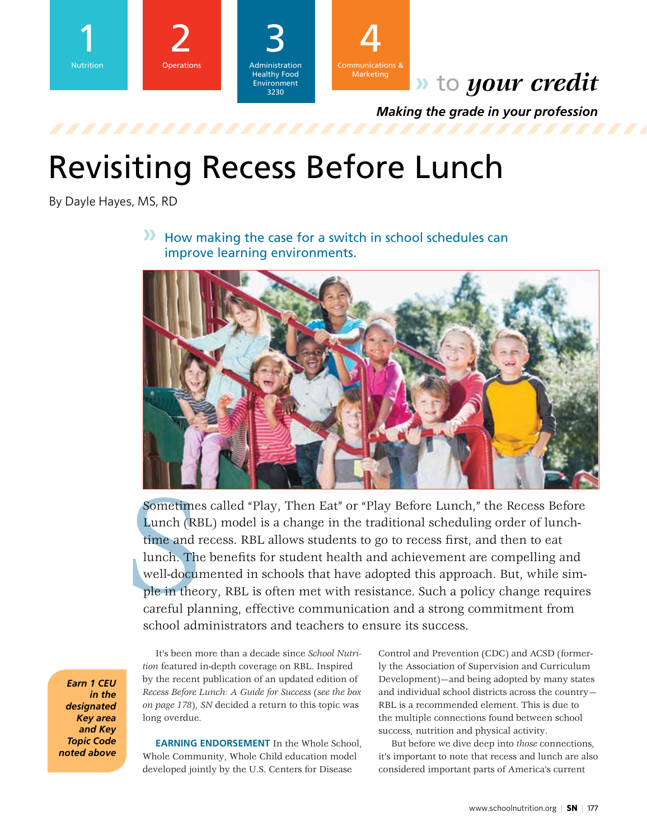



## **»** to *your credit*

*Making the grade in your profession*

# Revisiting Recess Before Lunch

By Dayle Hayes, MS, RD

**»** How making the case for a switch in school schedules can improve learning environments.



Sometime<br>Lunch (RI<br>time and 1<br>lunch. The<br>well-docum<br>ple in the<br>careful pla<br>school adr Sometimes called "Play, Then Eat" or "Play Before Lunch," the Recess Before Lunch (RBL) model is a change in the traditional scheduling order of lunchtime and recess. RBL allows students to go to recess first, and then to eat lunch. The benefits for student health and achievement are compelling and well-documented in schools that have adopted this approach. But, while simple in theory, RBL is often met with resistance. Such a policy change requires careful planning, effective communication and a strong commitment from school administrators and teachers to ensure its success.

*Earn 1 CEU in the designated Key area and Key Topic Code noted above*

It's been more than a decade since *School Nutrition* featured in-depth coverage on RBL. Inspired by the recent publication of an updated edition of *Recess Before Lunch: A Guide for Success* (*see the box on page 178*), *SN* decided a return to this topic was long overdue.

**EARNING ENDORSEMENT** In the Whole School, Whole Community, Whole Child education model developed jointly by the U.S. Centers for Disease

Control and Prevention (CDC) and ACSD (formerly the Association of Supervision and Curriculum Development)—and being adopted by many states and individual school districts across the country— RBL is a recommended element. This is due to the multiple connections found between school success, nutrition and physical activity.

But before we dive deep into *those* connections, it's important to note that recess and lunch are also considered important parts of America's current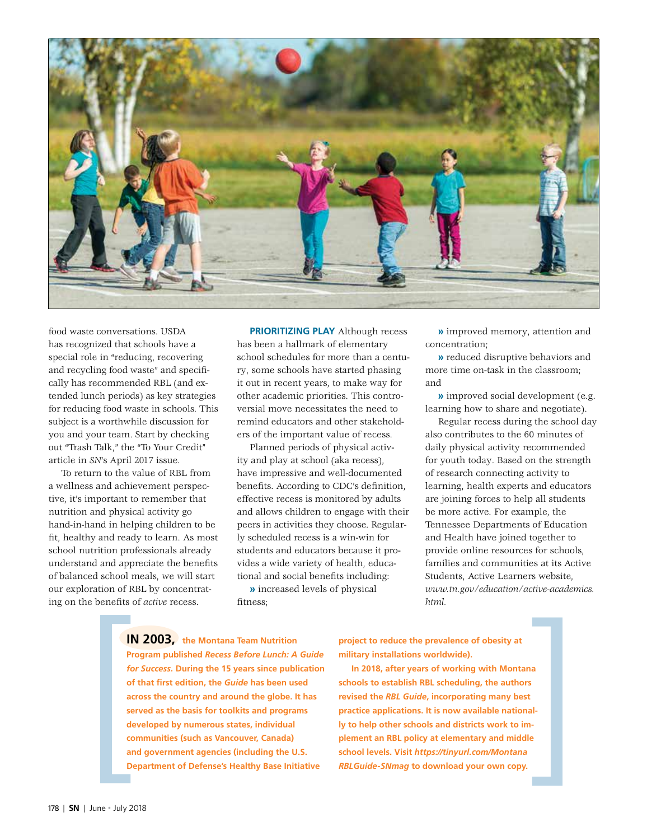

food waste conversations. USDA has recognized that schools have a special role in "reducing, recovering and recycling food waste" and specifically has recommended RBL (and extended lunch periods) as key strategies for reducing food waste in schools. This subject is a worthwhile discussion for you and your team. Start by checking out "Trash Talk," the "To Your Credit" article in *SN*'s April 2017 issue.

To return to the value of RBL from a wellness and achievement perspective, it's important to remember that nutrition and physical activity go hand-in-hand in helping children to be fit, healthy and ready to learn. As most school nutrition professionals already understand and appreciate the benefits of balanced school meals, we will start our exploration of RBL by concentrating on the benefits of *active* recess.

**PRIORITIZING PLAY** Although recess has been a hallmark of elementary school schedules for more than a century, some schools have started phasing it out in recent years, to make way for other academic priorities. This controversial move necessitates the need to remind educators and other stakeholders of the important value of recess.

Planned periods of physical activity and play at school (aka recess), have impressive and well-documented benefits. According to CDC's definition, effective recess is monitored by adults and allows children to engage with their peers in activities they choose. Regularly scheduled recess is a win-win for students and educators because it provides a wide variety of health, educational and social benefits including:

**»** increased levels of physical fitness;

**»** improved memory, attention and concentration;

**»** reduced disruptive behaviors and more time on-task in the classroom; and

**»** improved social development (e.g. learning how to share and negotiate).

Regular recess during the school day also contributes to the 60 minutes of daily physical activity recommended for youth today. Based on the strength of research connecting activity to learning, health experts and educators are joining forces to help all students be more active. For example, the Tennessee Departments of Education and Health have joined together to provide online resources for schools, families and communities at its Active Students, Active Learners website, *www.tn.gov/education/active-academics. html.* 

**IN 2003, the Montana Team Nutrition Program published** *Recess Before Lunch: A Guide for Success.* **During the 15 years since publication of that first edition, the** *Guide* **has been used across the country and around the globe. It has served as the basis for toolkits and programs developed by numerous states, individual communities (such as Vancouver, Canada) and government agencies (including the U.S. Department of Defense's Healthy Base Initiative IN 2003,** the Montana Team Nutrition<br> **Project to reduce the prevalence of obesity at**<br> **Program published Recess Before Lunch:** A Guide military installations worldwide).<br> **for Success.** During the 15 years since publica

**project to reduce the prevalence of obesity at military installations worldwide).** 

**In 2018, after years of working with Montana schools to establish RBL scheduling, the authors revised the** *RBL Guide***, incorporating many best practice applications. It is now available nationally to help other schools and districts work to implement an RBL policy at elementary and middle school levels. Visit** *https://tinyurl.com/Montana RBLGuide-SNmag* **to download your own copy.**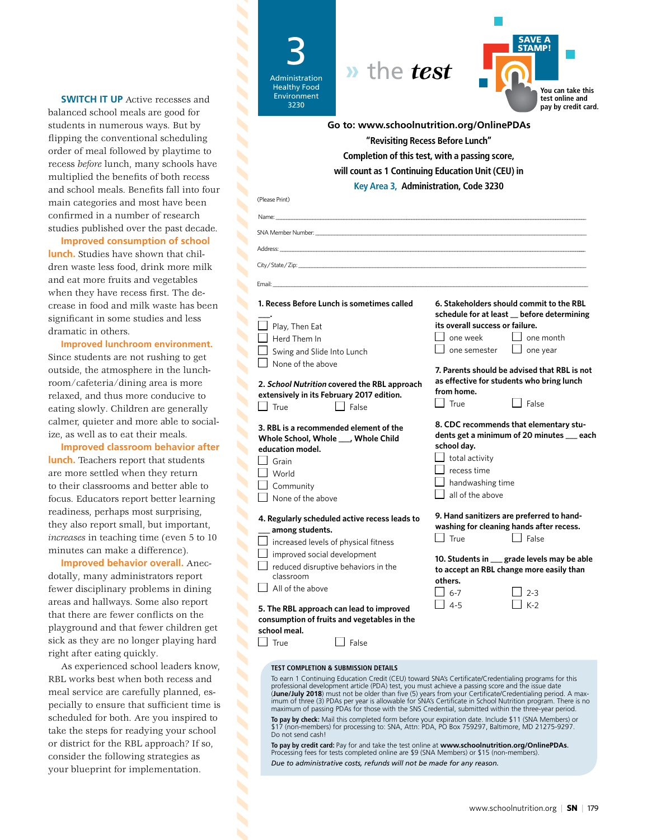**SWITCH IT UP** Active recesses and balanced school meals are good for students in numerous ways. But by flipping the conventional scheduling order of meal followed by playtime to recess *before* lunch, many schools have multiplied the benefits of both recess and school meals. Benefits fall into four main categories and most have been confirmed in a number of research studies published over the past decade.

**Improved consumption of school lunch.** Studies have shown that children waste less food, drink more milk and eat more fruits and vegetables when they have recess first. The decrease in food and milk waste has been significant in some studies and less dramatic in others.

**Improved lunchroom environment.** Since students are not rushing to get outside, the atmosphere in the lunchroom/cafeteria/dining area is more relaxed, and thus more conducive to eating slowly. Children are generally calmer, quieter and more able to socialize, as well as to eat their meals.

**Improved classroom behavior after lunch.** Teachers report that students are more settled when they return to their classrooms and better able to focus. Educators report better learning readiness, perhaps most surprising, they also report small, but important, *increases* in teaching time (even 5 to 10 minutes can make a difference).

**Improved behavior overall.** Anecdotally, many administrators report fewer disciplinary problems in dining areas and hallways. Some also report that there are fewer conflicts on the playground and that fewer children get sick as they are no longer playing hard right after eating quickly.

As experienced school leaders know, RBL works best when both recess and meal service are carefully planned, especially to ensure that sufficient time is scheduled for both. Are you inspired to take the steps for readying your school or district for the RBL approach? If so, consider the following strategies as your blueprint for implementation.

 $\blacktriangle$ 

| <i>n</i> the test<br><b>Administration</b><br><b>Healthy Food</b><br><b>Environment</b><br>3230                                                                                                                                                                                                                                                                                                                                                                                                                                                                                                                                                                                                                                                                           | SAVE A<br><b>STAMP!</b><br>You can take this<br>test online and<br>pay by credit card.                                                                                      |
|---------------------------------------------------------------------------------------------------------------------------------------------------------------------------------------------------------------------------------------------------------------------------------------------------------------------------------------------------------------------------------------------------------------------------------------------------------------------------------------------------------------------------------------------------------------------------------------------------------------------------------------------------------------------------------------------------------------------------------------------------------------------------|-----------------------------------------------------------------------------------------------------------------------------------------------------------------------------|
|                                                                                                                                                                                                                                                                                                                                                                                                                                                                                                                                                                                                                                                                                                                                                                           | Go to: www.schoolnutrition.org/OnlinePDAs                                                                                                                                   |
|                                                                                                                                                                                                                                                                                                                                                                                                                                                                                                                                                                                                                                                                                                                                                                           | "Revisiting Recess Before Lunch"                                                                                                                                            |
|                                                                                                                                                                                                                                                                                                                                                                                                                                                                                                                                                                                                                                                                                                                                                                           | Completion of this test, with a passing score,                                                                                                                              |
|                                                                                                                                                                                                                                                                                                                                                                                                                                                                                                                                                                                                                                                                                                                                                                           | will count as 1 Continuing Education Unit (CEU) in                                                                                                                          |
|                                                                                                                                                                                                                                                                                                                                                                                                                                                                                                                                                                                                                                                                                                                                                                           | Key Area 3, Administration, Code 3230                                                                                                                                       |
| (Please Print)                                                                                                                                                                                                                                                                                                                                                                                                                                                                                                                                                                                                                                                                                                                                                            |                                                                                                                                                                             |
|                                                                                                                                                                                                                                                                                                                                                                                                                                                                                                                                                                                                                                                                                                                                                                           |                                                                                                                                                                             |
| and the state of the state of the<br>Name:                                                                                                                                                                                                                                                                                                                                                                                                                                                                                                                                                                                                                                                                                                                                |                                                                                                                                                                             |
| SNA Member Number: www.com/                                                                                                                                                                                                                                                                                                                                                                                                                                                                                                                                                                                                                                                                                                                                               |                                                                                                                                                                             |
| Address: ___                                                                                                                                                                                                                                                                                                                                                                                                                                                                                                                                                                                                                                                                                                                                                              |                                                                                                                                                                             |
| City/State/Zip:                                                                                                                                                                                                                                                                                                                                                                                                                                                                                                                                                                                                                                                                                                                                                           |                                                                                                                                                                             |
| Email:                                                                                                                                                                                                                                                                                                                                                                                                                                                                                                                                                                                                                                                                                                                                                                    |                                                                                                                                                                             |
| 1. Recess Before Lunch is sometimes called                                                                                                                                                                                                                                                                                                                                                                                                                                                                                                                                                                                                                                                                                                                                | 6. Stakeholders should commit to the RBL<br>schedule for at least _ before determining                                                                                      |
| Play, Then Eat                                                                                                                                                                                                                                                                                                                                                                                                                                                                                                                                                                                                                                                                                                                                                            | its overall success or failure.                                                                                                                                             |
| Herd Them In                                                                                                                                                                                                                                                                                                                                                                                                                                                                                                                                                                                                                                                                                                                                                              | l one week<br>l one month                                                                                                                                                   |
| Swing and Slide Into Lunch                                                                                                                                                                                                                                                                                                                                                                                                                                                                                                                                                                                                                                                                                                                                                | $\Box$ one semester<br>$\Box$ one year                                                                                                                                      |
| None of the above                                                                                                                                                                                                                                                                                                                                                                                                                                                                                                                                                                                                                                                                                                                                                         | 7. Parents should be advised that RBL is not                                                                                                                                |
| 2. School Nutrition covered the RBL approach<br>extensively in its February 2017 edition.                                                                                                                                                                                                                                                                                                                                                                                                                                                                                                                                                                                                                                                                                 | as effective for students who bring lunch<br>from home.                                                                                                                     |
| True<br>False                                                                                                                                                                                                                                                                                                                                                                                                                                                                                                                                                                                                                                                                                                                                                             | True<br>l False                                                                                                                                                             |
| 3. RBL is a recommended element of the<br>Whole School, Whole ___, Whole Child<br>education model.<br>Grain<br>World<br>Community<br>None of the above                                                                                                                                                                                                                                                                                                                                                                                                                                                                                                                                                                                                                    | 8. CDC recommends that elementary stu-<br>dents get a minimum of 20 minutes __ each<br>school day.<br>total activity<br>recess time<br>handwashing time<br>all of the above |
|                                                                                                                                                                                                                                                                                                                                                                                                                                                                                                                                                                                                                                                                                                                                                                           | 9. Hand sanitizers are preferred to hand-                                                                                                                                   |
| 4. Regularly scheduled active recess leads to<br>among students.                                                                                                                                                                                                                                                                                                                                                                                                                                                                                                                                                                                                                                                                                                          | washing for cleaning hands after recess.                                                                                                                                    |
| increased levels of physical fitness                                                                                                                                                                                                                                                                                                                                                                                                                                                                                                                                                                                                                                                                                                                                      | True<br>  False                                                                                                                                                             |
| improved social development                                                                                                                                                                                                                                                                                                                                                                                                                                                                                                                                                                                                                                                                                                                                               | 10. Students in __ grade levels may be able                                                                                                                                 |
| reduced disruptive behaviors in the                                                                                                                                                                                                                                                                                                                                                                                                                                                                                                                                                                                                                                                                                                                                       | to accept an RBL change more easily than                                                                                                                                    |
| classroom<br>All of the above                                                                                                                                                                                                                                                                                                                                                                                                                                                                                                                                                                                                                                                                                                                                             | others.                                                                                                                                                                     |
|                                                                                                                                                                                                                                                                                                                                                                                                                                                                                                                                                                                                                                                                                                                                                                           | $6 - 7$<br>$2 - 3$                                                                                                                                                          |
| $K-2$<br>$4 - 5$<br>5. The RBL approach can lead to improved<br>consumption of fruits and vegetables in the<br>school meal.<br>True<br>False                                                                                                                                                                                                                                                                                                                                                                                                                                                                                                                                                                                                                              |                                                                                                                                                                             |
| <b>TEST COMPLETION &amp; SUBMISSION DETAILS</b>                                                                                                                                                                                                                                                                                                                                                                                                                                                                                                                                                                                                                                                                                                                           |                                                                                                                                                                             |
| To earn 1 Continuing Education Credit (CEU) toward SNA's Certificate/Credentialing programs for this<br>professional development article (PDA) test, you must achieve a passing score and the issue date<br>(June/July 2018) must not be older than five (5) years from your Certificate/Credentialing period. A max-<br>imum of three (3) PDAs per year is allowable for SNA's Certificate in School Nutrition program. There is no<br>maximum of passing PDAs for those with the SNS Credential, submitted within the three-year period.<br>To pay by check: Mail this completed form before your expiration date. Include \$11 (SNA Members) or<br>\$17 (non-members) for processing to: SNA, Attn: PDA, PO Box 759297, Baltimore, MD 21275-9297.<br>Do not send cash! |                                                                                                                                                                             |

**To pay by credit card:** Pay for and take the test online at **www.schoolnutrition.org/OnlinePDAs**. Processing fees for tests completed online are \$9 (SNA Members) or \$15 (non-members). *Due to administrative costs, refunds will not be made for any reason.*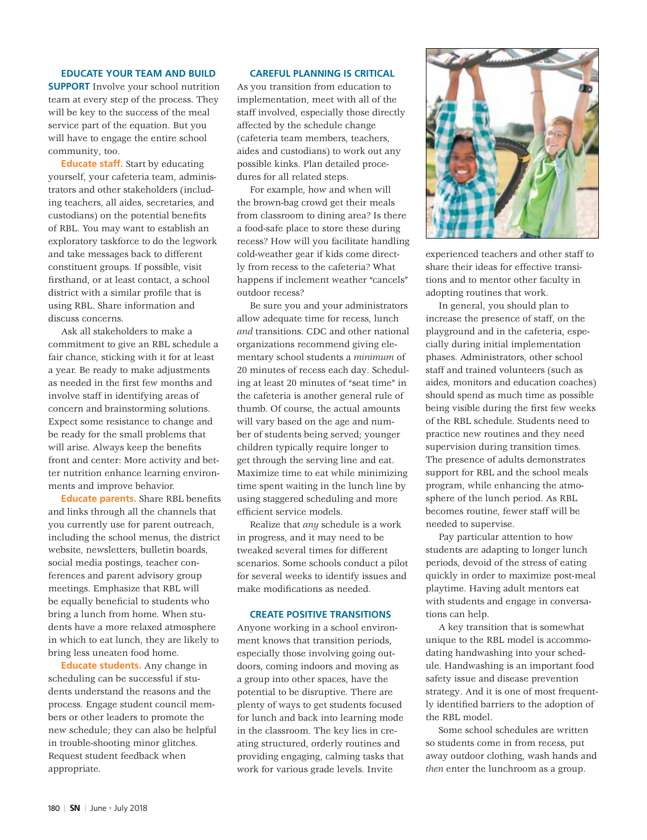#### **EDUCATE YOUR TEAM AND BUILD**

**SUPPORT** Involve your school nutrition team at every step of the process. They will be key to the success of the meal service part of the equation. But you will have to engage the entire school community, too.

**Educate staff.** Start by educating yourself, your cafeteria team, administrators and other stakeholders (including teachers, all aides, secretaries, and custodians) on the potential benefits of RBL. You may want to establish an exploratory taskforce to do the legwork and take messages back to different constituent groups. If possible, visit firsthand, or at least contact, a school district with a similar profile that is using RBL. Share information and discuss concerns.

Ask all stakeholders to make a commitment to give an RBL schedule a fair chance, sticking with it for at least a year. Be ready to make adjustments as needed in the first few months and involve staff in identifying areas of concern and brainstorming solutions. Expect some resistance to change and be ready for the small problems that will arise. Always keep the benefits front and center: More activity and better nutrition enhance learning environments and improve behavior.

**Educate parents.** Share RBL benefits and links through all the channels that you currently use for parent outreach, including the school menus, the district website, newsletters, bulletin boards, social media postings, teacher conferences and parent advisory group meetings. Emphasize that RBL will be equally beneficial to students who bring a lunch from home. When students have a more relaxed atmosphere in which to eat lunch, they are likely to bring less uneaten food home.

**Educate students.** Any change in scheduling can be successful if students understand the reasons and the process. Engage student council members or other leaders to promote the new schedule; they can also be helpful in trouble-shooting minor glitches. Request student feedback when appropriate.

#### **CAREFUL PLANNING IS CRITICAL**

As you transition from education to implementation, meet with all of the staff involved, especially those directly affected by the schedule change (cafeteria team members, teachers, aides and custodians) to work out any possible kinks. Plan detailed procedures for all related steps.

For example, how and when will the brown-bag crowd get their meals from classroom to dining area? Is there a food-safe place to store these during recess? How will you facilitate handling cold-weather gear if kids come directly from recess to the cafeteria? What happens if inclement weather "cancels" outdoor recess?

Be sure you and your administrators allow adequate time for recess, lunch *and* transitions. CDC and other national organizations recommend giving elementary school students a *minimum* of 20 minutes of recess each day. Scheduling at least 20 minutes of "seat time" in the cafeteria is another general rule of thumb. Of course, the actual amounts will vary based on the age and number of students being served; younger children typically require longer to get through the serving line and eat. Maximize time to eat while minimizing time spent waiting in the lunch line by using staggered scheduling and more efficient service models.

Realize that *any* schedule is a work in progress, and it may need to be tweaked several times for different scenarios. Some schools conduct a pilot for several weeks to identify issues and make modifications as needed.

#### **CREATE POSITIVE TRANSITIONS**

Anyone working in a school environment knows that transition periods, especially those involving going outdoors, coming indoors and moving as a group into other spaces, have the potential to be disruptive. There are plenty of ways to get students focused for lunch and back into learning mode in the classroom. The key lies in creating structured, orderly routines and providing engaging, calming tasks that work for various grade levels. Invite



experienced teachers and other staff to share their ideas for effective transitions and to mentor other faculty in adopting routines that work.

In general, you should plan to increase the presence of staff, on the playground and in the cafeteria, especially during initial implementation phases. Administrators, other school staff and trained volunteers (such as aides, monitors and education coaches) should spend as much time as possible being visible during the first few weeks of the RBL schedule. Students need to practice new routines and they need supervision during transition times. The presence of adults demonstrates support for RBL and the school meals program, while enhancing the atmosphere of the lunch period. As RBL becomes routine, fewer staff will be needed to supervise.

Pay particular attention to how students are adapting to longer lunch periods, devoid of the stress of eating quickly in order to maximize post-meal playtime. Having adult mentors eat with students and engage in conversations can help.

A key transition that is somewhat unique to the RBL model is accommodating handwashing into your schedule. Handwashing is an important food safety issue and disease prevention strategy. And it is one of most frequently identified barriers to the adoption of the RBL model.

Some school schedules are written so students come in from recess, put away outdoor clothing, wash hands and *then* enter the lunchroom as a group.